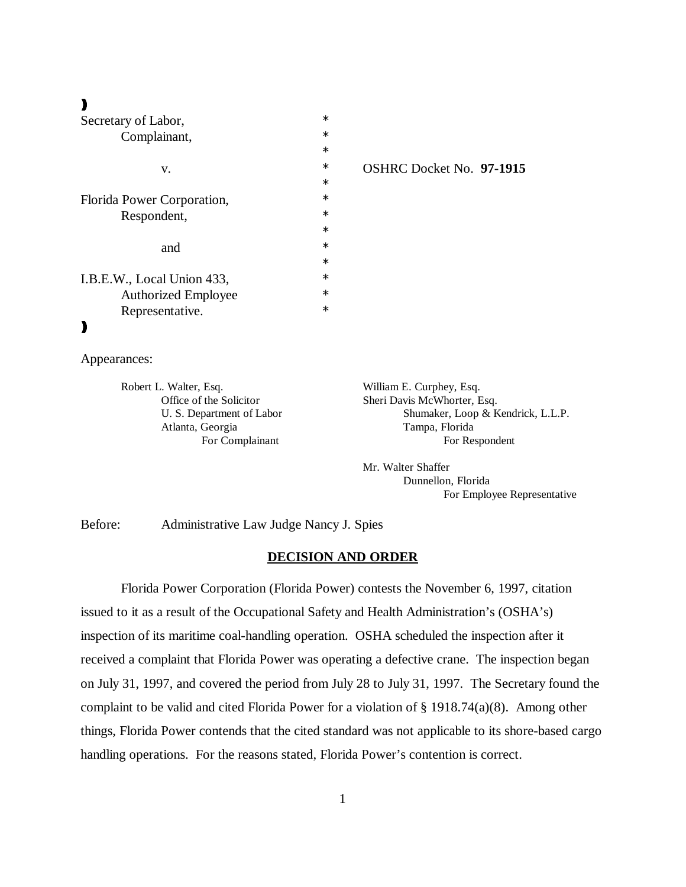# $\lambda$

| Secretary of Labor,        | $\ast$ |
|----------------------------|--------|
| Complainant,               | $\ast$ |
|                            | $\ast$ |
| v.                         | $\ast$ |
|                            | $\ast$ |
| Florida Power Corporation, | $\ast$ |
| Respondent,                | $\ast$ |
|                            | $\ast$ |
| and                        | $\ast$ |
|                            | $\ast$ |
| I.B.E.W., Local Union 433, | $\ast$ |
| <b>Authorized Employee</b> | $\ast$ |
| Representative.            | ж      |
|                            |        |

v. \* OSHRC Docket No. **97-1915** 

Appearances:

Robert L. Walter, Esq. William E. Curphey, Esq. Atlanta, Georgia Tampa, Florida

Office of the Solicitor Sheri Davis McWhorter, Esq. U. S. Department of Labor Shumaker, Loop & Kendrick, L.L.P. For Complainant For Respondent

> Mr. Walter Shaffer Dunnellon, Florida For Employee Representative

Before: Administrative Law Judge Nancy J. Spies

#### **DECISION AND ORDER**

Florida Power Corporation (Florida Power) contests the November 6, 1997, citation issued to it as a result of the Occupational Safety and Health Administration's (OSHA's) inspection of its maritime coal-handling operation. OSHA scheduled the inspection after it received a complaint that Florida Power was operating a defective crane. The inspection began on July 31, 1997, and covered the period from July 28 to July 31, 1997. The Secretary found the complaint to be valid and cited Florida Power for a violation of § 1918.74(a)(8). Among other things, Florida Power contends that the cited standard was not applicable to its shore-based cargo handling operations. For the reasons stated, Florida Power's contention is correct.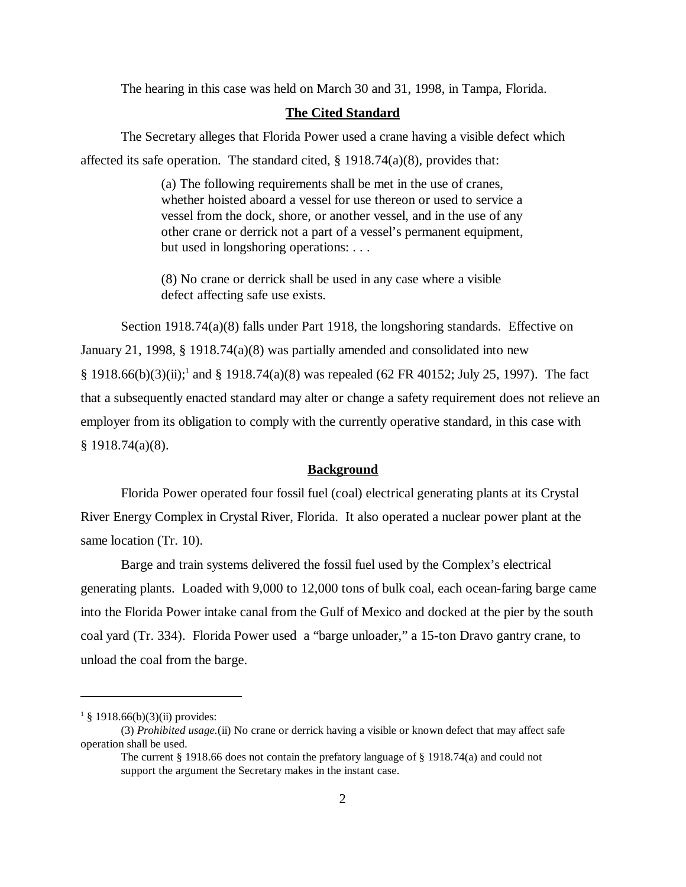The hearing in this case was held on March 30 and 31, 1998, in Tampa, Florida.

## **The Cited Standard**

The Secretary alleges that Florida Power used a crane having a visible defect which affected its safe operation. The standard cited,  $\S$  1918.74(a)(8), provides that:

> (a) The following requirements shall be met in the use of cranes, whether hoisted aboard a vessel for use thereon or used to service a vessel from the dock, shore, or another vessel, and in the use of any other crane or derrick not a part of a vessel's permanent equipment, but used in longshoring operations: . . .

(8) No crane or derrick shall be used in any case where a visible defect affecting safe use exists.

Section 1918.74(a)(8) falls under Part 1918, the longshoring standards. Effective on January 21, 1998, § 1918.74(a)(8) was partially amended and consolidated into new § 1918.66(b)(3)(ii);<sup>1</sup> and § 1918.74(a)(8) was repealed (62 FR 40152; July 25, 1997). The fact that a subsequently enacted standard may alter or change a safety requirement does not relieve an employer from its obligation to comply with the currently operative standard, in this case with  $§ 1918.74(a)(8).$ 

### **Background**

Florida Power operated four fossil fuel (coal) electrical generating plants at its Crystal River Energy Complex in Crystal River, Florida. It also operated a nuclear power plant at the same location (Tr. 10).

Barge and train systems delivered the fossil fuel used by the Complex's electrical generating plants. Loaded with 9,000 to 12,000 tons of bulk coal, each ocean-faring barge came into the Florida Power intake canal from the Gulf of Mexico and docked at the pier by the south coal yard (Tr. 334). Florida Power used a "barge unloader," a 15-ton Dravo gantry crane, to unload the coal from the barge.

 $1 \text{ }$  § 1918.66(b)(3)(ii) provides:

<sup>(3)</sup> *Prohibited usage.*(ii) No crane or derrick having a visible or known defect that may affect safe operation shall be used.

The current § 1918.66 does not contain the prefatory language of § 1918.74(a) and could not support the argument the Secretary makes in the instant case.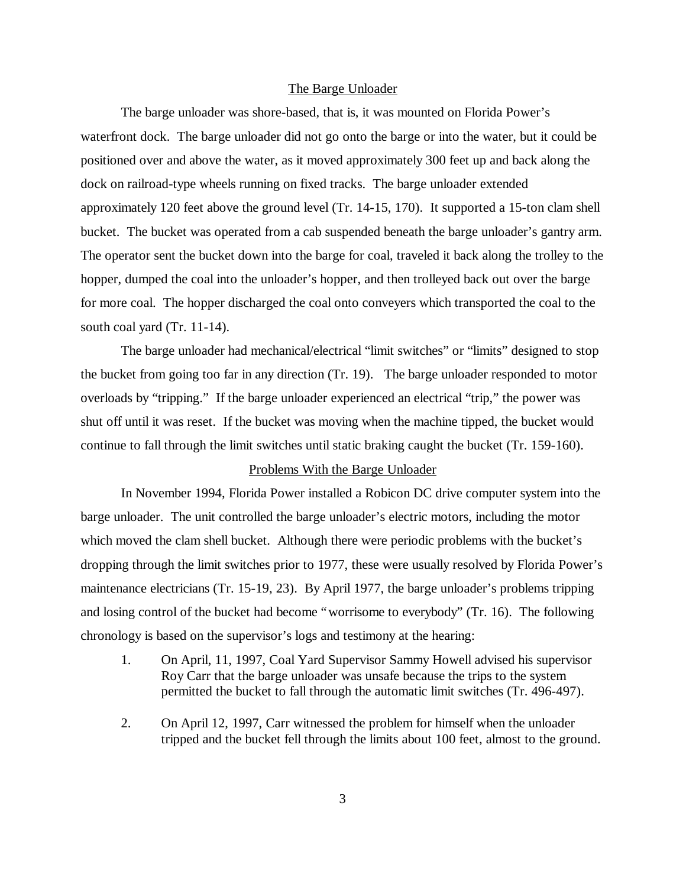#### The Barge Unloader

The barge unloader was shore-based, that is, it was mounted on Florida Power's waterfront dock. The barge unloader did not go onto the barge or into the water, but it could be positioned over and above the water, as it moved approximately 300 feet up and back along the dock on railroad-type wheels running on fixed tracks. The barge unloader extended approximately 120 feet above the ground level (Tr. 14-15, 170). It supported a 15-ton clam shell bucket. The bucket was operated from a cab suspended beneath the barge unloader's gantry arm. The operator sent the bucket down into the barge for coal, traveled it back along the trolley to the hopper, dumped the coal into the unloader's hopper, and then trolleyed back out over the barge for more coal. The hopper discharged the coal onto conveyers which transported the coal to the south coal yard (Tr. 11-14).

The barge unloader had mechanical/electrical "limit switches" or "limits" designed to stop the bucket from going too far in any direction (Tr. 19). The barge unloader responded to motor overloads by "tripping." If the barge unloader experienced an electrical "trip," the power was shut off until it was reset. If the bucket was moving when the machine tipped, the bucket would continue to fall through the limit switches until static braking caught the bucket (Tr. 159-160).

#### Problems With the Barge Unloader

In November 1994, Florida Power installed a Robicon DC drive computer system into the barge unloader. The unit controlled the barge unloader's electric motors, including the motor which moved the clam shell bucket. Although there were periodic problems with the bucket's dropping through the limit switches prior to 1977, these were usually resolved by Florida Power's maintenance electricians (Tr. 15-19, 23). By April 1977, the barge unloader's problems tripping and losing control of the bucket had become "worrisome to everybody" (Tr. 16). The following chronology is based on the supervisor's logs and testimony at the hearing:

- 1. On April, 11, 1997, Coal Yard Supervisor Sammy Howell advised his supervisor Roy Carr that the barge unloader was unsafe because the trips to the system permitted the bucket to fall through the automatic limit switches (Tr. 496-497).
- 2. On April 12, 1997, Carr witnessed the problem for himself when the unloader tripped and the bucket fell through the limits about 100 feet, almost to the ground.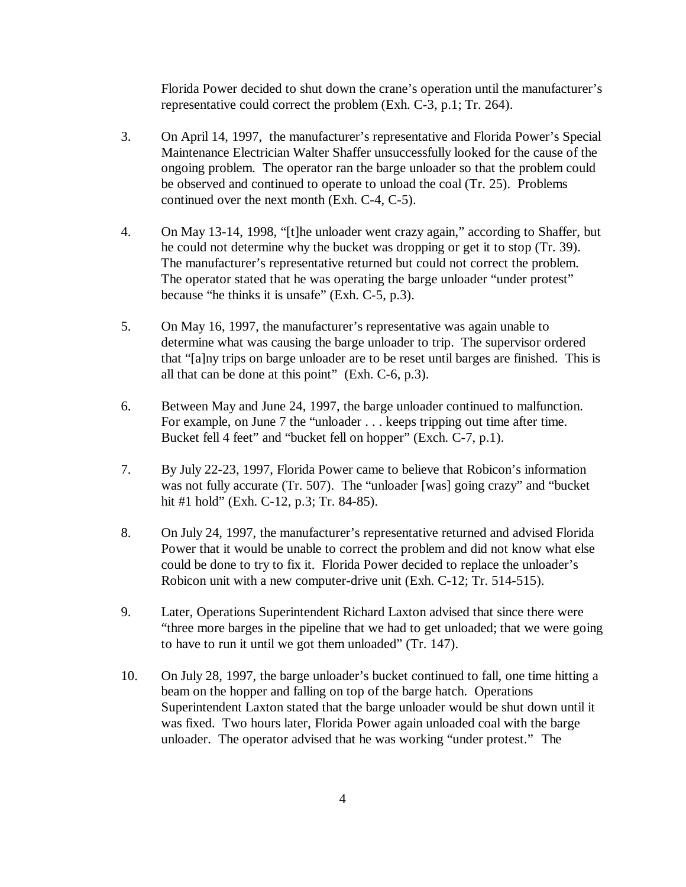Florida Power decided to shut down the crane's operation until the manufacturer's representative could correct the problem (Exh. C-3, p.1; Tr. 264).

- 3. On April 14, 1997, the manufacturer's representative and Florida Power's Special Maintenance Electrician Walter Shaffer unsuccessfully looked for the cause of the ongoing problem. The operator ran the barge unloader so that the problem could be observed and continued to operate to unload the coal (Tr. 25). Problems continued over the next month (Exh. C-4, C-5).
- 4. On May 13-14, 1998, "[t]he unloader went crazy again," according to Shaffer, but he could not determine why the bucket was dropping or get it to stop (Tr. 39). The manufacturer's representative returned but could not correct the problem. The operator stated that he was operating the barge unloader "under protest" because "he thinks it is unsafe" (Exh. C-5, p.3).
- 5. On May 16, 1997, the manufacturer's representative was again unable to determine what was causing the barge unloader to trip. The supervisor ordered that "[a]ny trips on barge unloader are to be reset until barges are finished. This is all that can be done at this point" (Exh. C-6, p.3).
- 6. Between May and June 24, 1997, the barge unloader continued to malfunction. For example, on June 7 the "unloader . . . keeps tripping out time after time. Bucket fell 4 feet" and "bucket fell on hopper" (Exch. C-7, p.1).
- 7. By July 22-23, 1997, Florida Power came to believe that Robicon's information was not fully accurate (Tr. 507). The "unloader [was] going crazy" and "bucket hit #1 hold" (Exh. C-12, p.3; Tr. 84-85).
- 8. On July 24, 1997, the manufacturer's representative returned and advised Florida Power that it would be unable to correct the problem and did not know what else could be done to try to fix it. Florida Power decided to replace the unloader's Robicon unit with a new computer-drive unit (Exh. C-12; Tr. 514-515).
- 9. Later, Operations Superintendent Richard Laxton advised that since there were "three more barges in the pipeline that we had to get unloaded; that we were going to have to run it until we got them unloaded" (Tr. 147).
- 10. On July 28, 1997, the barge unloader's bucket continued to fall, one time hitting a beam on the hopper and falling on top of the barge hatch. Operations Superintendent Laxton stated that the barge unloader would be shut down until it was fixed. Two hours later, Florida Power again unloaded coal with the barge unloader. The operator advised that he was working "under protest." The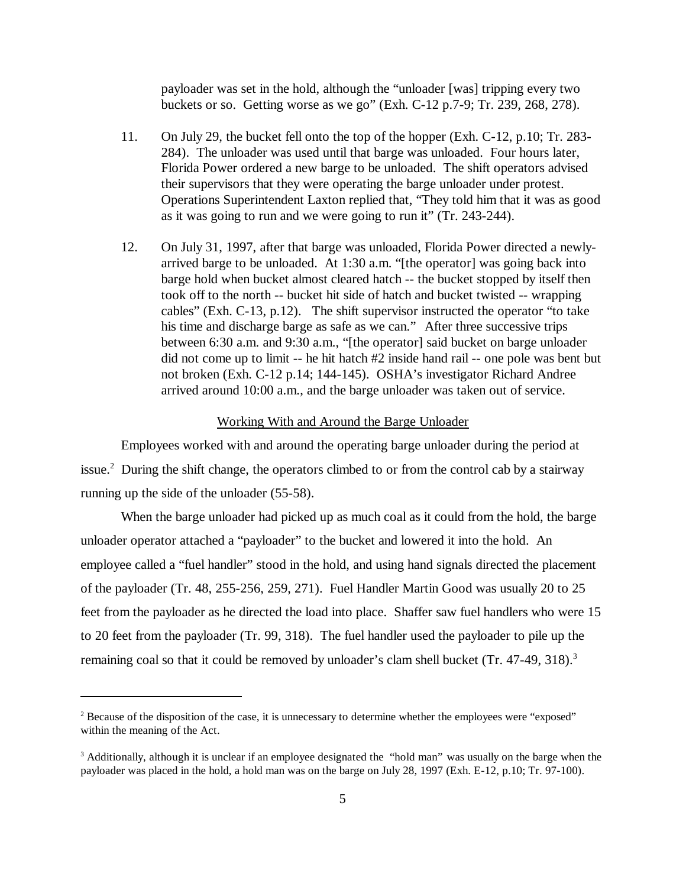payloader was set in the hold, although the "unloader [was] tripping every two buckets or so. Getting worse as we go" (Exh. C-12 p.7-9; Tr. 239, 268, 278).

- 11. On July 29, the bucket fell onto the top of the hopper (Exh. C-12, p.10; Tr. 283- 284). The unloader was used until that barge was unloaded. Four hours later, Florida Power ordered a new barge to be unloaded. The shift operators advised their supervisors that they were operating the barge unloader under protest. Operations Superintendent Laxton replied that, "They told him that it was as good as it was going to run and we were going to run it" (Tr. 243-244).
- 12. On July 31, 1997, after that barge was unloaded, Florida Power directed a newlyarrived barge to be unloaded. At 1:30 a.m. "[the operator] was going back into barge hold when bucket almost cleared hatch -- the bucket stopped by itself then took off to the north -- bucket hit side of hatch and bucket twisted -- wrapping cables" (Exh. C-13, p.12). The shift supervisor instructed the operator "to take his time and discharge barge as safe as we can." After three successive trips between 6:30 a.m. and 9:30 a.m., "[the operator] said bucket on barge unloader did not come up to limit -- he hit hatch #2 inside hand rail -- one pole was bent but not broken (Exh. C-12 p.14; 144-145). OSHA's investigator Richard Andree arrived around 10:00 a.m., and the barge unloader was taken out of service.

#### Working With and Around the Barge Unloader

Employees worked with and around the operating barge unloader during the period at issue.<sup>2</sup> During the shift change, the operators climbed to or from the control cab by a stairway running up the side of the unloader (55-58).

When the barge unloader had picked up as much coal as it could from the hold, the barge unloader operator attached a "payloader" to the bucket and lowered it into the hold. An employee called a "fuel handler" stood in the hold, and using hand signals directed the placement of the payloader (Tr. 48, 255-256, 259, 271). Fuel Handler Martin Good was usually 20 to 25 feet from the payloader as he directed the load into place. Shaffer saw fuel handlers who were 15 to 20 feet from the payloader (Tr. 99, 318). The fuel handler used the payloader to pile up the remaining coal so that it could be removed by unloader's clam shell bucket (Tr. 47-49, 318).<sup>3</sup>

 $2^2$  Because of the disposition of the case, it is unnecessary to determine whether the employees were "exposed" within the meaning of the Act.

<sup>&</sup>lt;sup>3</sup> Additionally, although it is unclear if an employee designated the "hold man" was usually on the barge when the payloader was placed in the hold, a hold man was on the barge on July 28, 1997 (Exh. E-12, p.10; Tr. 97-100).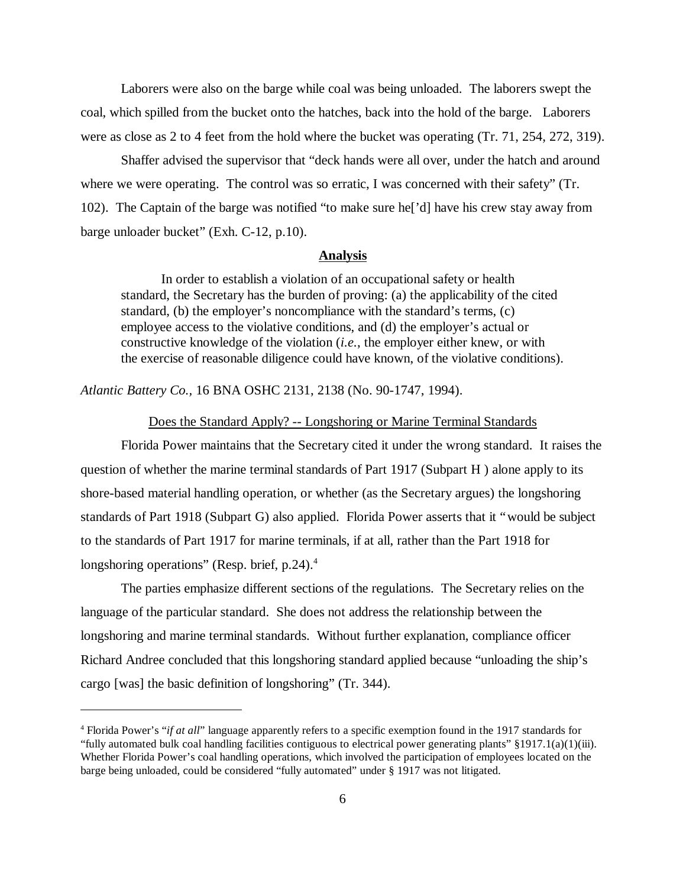Laborers were also on the barge while coal was being unloaded. The laborers swept the coal, which spilled from the bucket onto the hatches, back into the hold of the barge. Laborers were as close as 2 to 4 feet from the hold where the bucket was operating (Tr. 71, 254, 272, 319).

Shaffer advised the supervisor that "deck hands were all over, under the hatch and around where we were operating. The control was so erratic, I was concerned with their safety" (Tr. 102). The Captain of the barge was notified "to make sure he['d] have his crew stay away from barge unloader bucket" (Exh. C-12, p.10).

## **Analysis**

In order to establish a violation of an occupational safety or health standard, the Secretary has the burden of proving: (a) the applicability of the cited standard, (b) the employer's noncompliance with the standard's terms, (c) employee access to the violative conditions, and (d) the employer's actual or constructive knowledge of the violation (*i.e.*, the employer either knew, or with the exercise of reasonable diligence could have known, of the violative conditions).

*Atlantic Battery Co.,* 16 BNA OSHC 2131, 2138 (No. 90-1747, 1994).

#### Does the Standard Apply? -- Longshoring or Marine Terminal Standards

Florida Power maintains that the Secretary cited it under the wrong standard. It raises the question of whether the marine terminal standards of Part 1917 (Subpart H ) alone apply to its shore-based material handling operation, or whether (as the Secretary argues) the longshoring standards of Part 1918 (Subpart G) also applied. Florida Power asserts that it "would be subject to the standards of Part 1917 for marine terminals, if at all, rather than the Part 1918 for longshoring operations" (Resp. brief, p.24).<sup>4</sup>

The parties emphasize different sections of the regulations. The Secretary relies on the language of the particular standard. She does not address the relationship between the longshoring and marine terminal standards. Without further explanation, compliance officer Richard Andree concluded that this longshoring standard applied because "unloading the ship's cargo [was] the basic definition of longshoring" (Tr. 344).

<sup>4</sup> Florida Power's "*if at all*" language apparently refers to a specific exemption found in the 1917 standards for "fully automated bulk coal handling facilities contiguous to electrical power generating plants"  $\S 1917.1(a)(1)(iii)$ . Whether Florida Power's coal handling operations, which involved the participation of employees located on the barge being unloaded, could be considered "fully automated" under § 1917 was not litigated.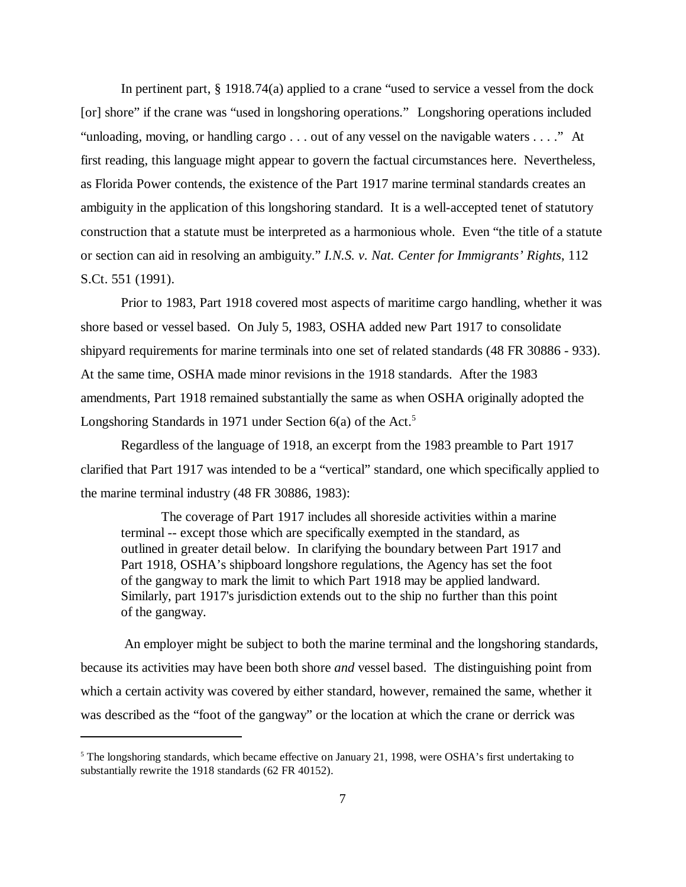In pertinent part, § 1918.74(a) applied to a crane "used to service a vessel from the dock [or] shore" if the crane was "used in longshoring operations." Longshoring operations included "unloading, moving, or handling cargo . . . out of any vessel on the navigable waters . . . ." At first reading, this language might appear to govern the factual circumstances here. Nevertheless, as Florida Power contends, the existence of the Part 1917 marine terminal standards creates an ambiguity in the application of this longshoring standard. It is a well-accepted tenet of statutory construction that a statute must be interpreted as a harmonious whole. Even "the title of a statute or section can aid in resolving an ambiguity." *I.N.S. v. Nat. Center for Immigrants' Rights*, 112 S.Ct. 551 (1991).

Prior to 1983, Part 1918 covered most aspects of maritime cargo handling, whether it was shore based or vessel based. On July 5, 1983, OSHA added new Part 1917 to consolidate shipyard requirements for marine terminals into one set of related standards (48 FR 30886 - 933). At the same time, OSHA made minor revisions in the 1918 standards. After the 1983 amendments, Part 1918 remained substantially the same as when OSHA originally adopted the Longshoring Standards in 1971 under Section  $6(a)$  of the Act.<sup>5</sup>

Regardless of the language of 1918, an excerpt from the 1983 preamble to Part 1917 clarified that Part 1917 was intended to be a "vertical" standard, one which specifically applied to the marine terminal industry (48 FR 30886, 1983):

The coverage of Part 1917 includes all shoreside activities within a marine terminal -- except those which are specifically exempted in the standard, as outlined in greater detail below. In clarifying the boundary between Part 1917 and Part 1918, OSHA's shipboard longshore regulations, the Agency has set the foot of the gangway to mark the limit to which Part 1918 may be applied landward. Similarly, part 1917's jurisdiction extends out to the ship no further than this point of the gangway.

 An employer might be subject to both the marine terminal and the longshoring standards, because its activities may have been both shore *and* vessel based. The distinguishing point from which a certain activity was covered by either standard, however, remained the same, whether it was described as the "foot of the gangway" or the location at which the crane or derrick was

<sup>&</sup>lt;sup>5</sup> The longshoring standards, which became effective on January 21, 1998, were OSHA's first undertaking to substantially rewrite the 1918 standards (62 FR 40152).